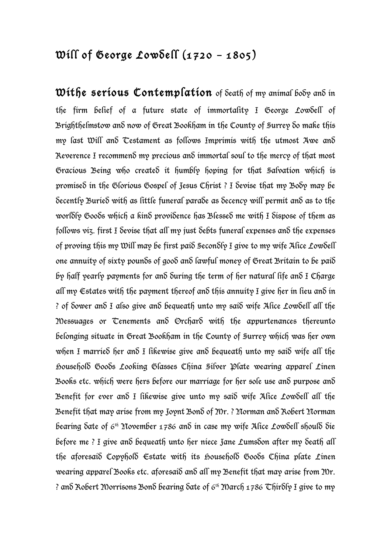## Will of George Lowdell  $(1720 - 1805)$

Withe serious Contemplation of Seath of my animal booy and in the firm belief of a future state of immortality I George Lowdell of Brighthelmstow and now of Great Bookham in the County of Surrey do make this my last Will and Testament as follows Imprimis with the utmost Awe and Reverence I recommend my precious and immortal soul to the mercy of that most Gracious Being who created it humbly hoping for that Salvation which is promised in the Glorious Gospel of Jesus Christ ? I devise that my Body may be decently Buried with as little funeral parade as decency will permit and as to the worldly Goods which a kind providence has Blessed me with I dispose of them as follows viz. first I devise that all my just debts funeral expenses and the expenses of proving this my Will may be first paid Secondly I give to my wife Alice Lowdell one annuity of sixty pounds of good and lawful money of Great Britain to be paid by half yearly payments for and during the term of her natural life and I Charge all my Estates with the payment thereof and this annuity I give her in lieu and in ? of dower and I also give and bequeath unto my said wife Alice Lowdell all the Messuages or Tenements and Orchard with the appurtenances thereunto belonging situate in Great Bookham in the County of Surrey which was her own when I married her and I likewise give and bequeath unto my said wife all the Household Goods Looking Glasses China Silver Plate wearing apparel Linen Books etc. which were hers before our marriage for her sole use and purpose and Benefit for ever and I likewise give unto my said wife Alice Lowdell all the Benefit that may arise from my Joynt Bond of Mr. ? Norman and Robert Norman bearing  $\delta$ ate of 6<sup>th</sup> November 1786 and in case my wife Alice Lowdell should die before me ? I give and bequeath unto her niece Jane Lumsdon after my death all the aforesaid Copyhold  $\epsilon$ state with its household Goods China plate Linen wearing apparel Books etc. aforesaid and all my Benefit that may arise from Mr. ? and Robert Morrisons Bond bearing date of 6th March 1786 Thirdly I give to my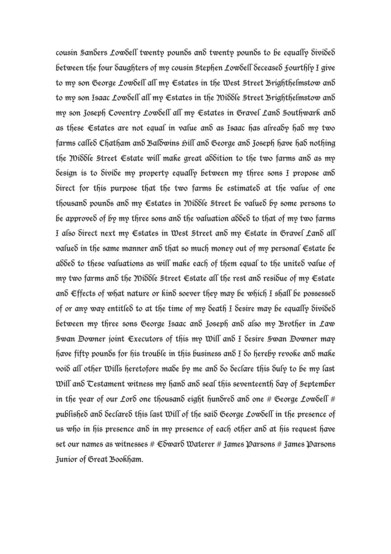cousin Sanders Lowdell twenty pounds and twenty pounds to be equally divided between the four daughters of my cousin Stephen Lowdell deceased fourthly I give to my son George Lowdell all my Estates in the West Street Brighthelmstow and to my son Isaac Lowdell all my Estates in the Middle Street Brighthelmstow and my son Joseph Coventry Lowdell all my Estates in Gravel Land Southwark and as these Estates are not equal in value and as Isaac has already had my two farms called Chatham and Baldwins Hill and George and Joseph have had nothing the Middle Street Estate will make great addition to the two farms and as my design is to divide my property equally between my three sons I propose and direct for this purpose that the two farms be estimated at the value of one thousand pounds and my Estates in Middle Street be valued by some persons to be approved of by my three sons and the valuation added to that of my two farms I also direct next my Estates in West Street and my Estate in Gravel Land all valued in the same manner and that so much money out of my personal Estate be added to these valuations as will make each of them equal to the united value of my two farms and the Middle Street Estate all the rest and residue of my Estate and Effects of what nature or kind soever they may be which I shall be possessed of or any way entitled to at the time of my death I desire may be equally divided between my three sons George Isaac and Joseph and also my Brother in Law Swan Downer joint Executors of this my Will and I desire Swan Downer may have fifty pounds for his trouble in this business and  $I$  do hereby revoke and make void all other Wills heretofore made by me and do declare this duly to be my last Will and Testament witness my hand and seal this seventeenth day of September in the year of our Lord one thousand eight hundred and one # George Lowdell # published and declared this last Will of the said George Lowdell in the presence of us who in his presence and in my presence of each other and at his request have set our names as witnesses #  $\infty$ war $\delta$  Waterer # James Parsons # James Parsons Junior of Great Bookham.